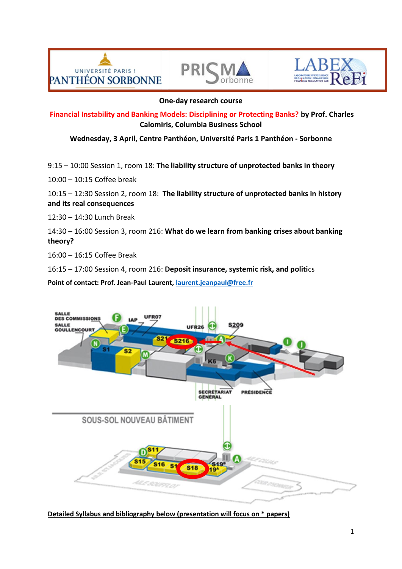





## **One-day research course**

**Financial Instability and Banking Models: Disciplining or Protecting Banks? by Prof. Charles Calomiris, Columbia Business School**

**Wednesday, 3 April, Centre Panthéon, Université Paris 1 Panthéon - Sorbonne**

9:15 – 10:00 Session 1, room 18: **The liability structure of unprotected banks in theory**

10:00 – 10:15 Coffee break

10:15 – 12:30 Session 2, room 18: **The liability structure of unprotected banks in history and its real consequences**

12:30 – 14:30 Lunch Break

14:30 – 16:00 Session 3, room 216: **What do we learn from banking crises about banking theory?**

16:00 – 16:15 Coffee Break

16:15 – 17:00 Session 4, room 216: **Deposit insurance, systemic risk, and politi**cs

**Point of contact: Prof. Jean-Paul Laurent, [laurent.jeanpaul@free.fr](mailto:laurent.jeanpaul@free.fr)**



**Detailed Syllabus and bibliography below (presentation will focus on \* papers)**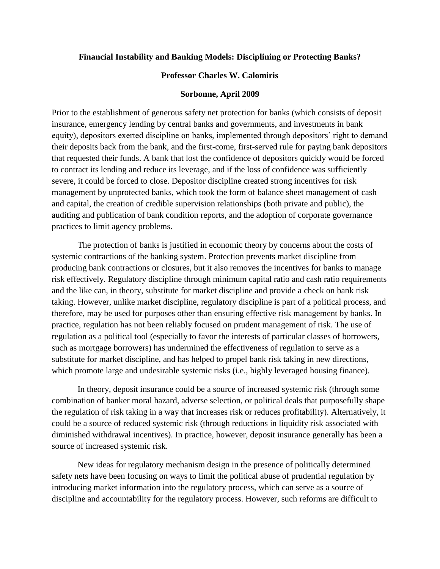## **Financial Instability and Banking Models: Disciplining or Protecting Banks?**

#### **Professor Charles W. Calomiris**

#### **Sorbonne, April 2009**

Prior to the establishment of generous safety net protection for banks (which consists of deposit insurance, emergency lending by central banks and governments, and investments in bank equity), depositors exerted discipline on banks, implemented through depositors' right to demand their deposits back from the bank, and the first-come, first-served rule for paying bank depositors that requested their funds. A bank that lost the confidence of depositors quickly would be forced to contract its lending and reduce its leverage, and if the loss of confidence was sufficiently severe, it could be forced to close. Depositor discipline created strong incentives for risk management by unprotected banks, which took the form of balance sheet management of cash and capital, the creation of credible supervision relationships (both private and public), the auditing and publication of bank condition reports, and the adoption of corporate governance practices to limit agency problems.

The protection of banks is justified in economic theory by concerns about the costs of systemic contractions of the banking system. Protection prevents market discipline from producing bank contractions or closures, but it also removes the incentives for banks to manage risk effectively. Regulatory discipline through minimum capital ratio and cash ratio requirements and the like can, in theory, substitute for market discipline and provide a check on bank risk taking. However, unlike market discipline, regulatory discipline is part of a political process, and therefore, may be used for purposes other than ensuring effective risk management by banks. In practice, regulation has not been reliably focused on prudent management of risk. The use of regulation as a political tool (especially to favor the interests of particular classes of borrowers, such as mortgage borrowers) has undermined the effectiveness of regulation to serve as a substitute for market discipline, and has helped to propel bank risk taking in new directions, which promote large and undesirable systemic risks (i.e., highly leveraged housing finance).

In theory, deposit insurance could be a source of increased systemic risk (through some combination of banker moral hazard, adverse selection, or political deals that purposefully shape the regulation of risk taking in a way that increases risk or reduces profitability). Alternatively, it could be a source of reduced systemic risk (through reductions in liquidity risk associated with diminished withdrawal incentives). In practice, however, deposit insurance generally has been a source of increased systemic risk.

New ideas for regulatory mechanism design in the presence of politically determined safety nets have been focusing on ways to limit the political abuse of prudential regulation by introducing market information into the regulatory process, which can serve as a source of discipline and accountability for the regulatory process. However, such reforms are difficult to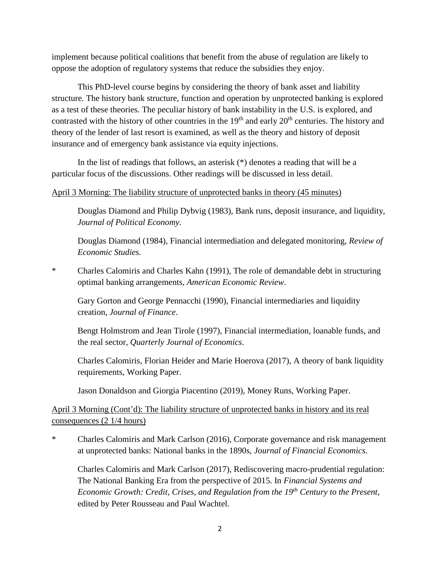implement because political coalitions that benefit from the abuse of regulation are likely to oppose the adoption of regulatory systems that reduce the subsidies they enjoy.

This PhD-level course begins by considering the theory of bank asset and liability structure. The history bank structure, function and operation by unprotected banking is explored as a test of these theories. The peculiar history of bank instability in the U.S. is explored, and contrasted with the history of other countries in the  $19<sup>th</sup>$  and early  $20<sup>th</sup>$  centuries. The history and theory of the lender of last resort is examined, as well as the theory and history of deposit insurance and of emergency bank assistance via equity injections.

In the list of readings that follows, an asterisk (\*) denotes a reading that will be a particular focus of the discussions. Other readings will be discussed in less detail.

# April 3 Morning: The liability structure of unprotected banks in theory (45 minutes)

Douglas Diamond and Philip Dybvig (1983), Bank runs, deposit insurance, and liquidity, *Journal of Political Economy*.

Douglas Diamond (1984), Financial intermediation and delegated monitoring, *Review of Economic Studies.*

\* Charles Calomiris and Charles Kahn (1991), The role of demandable debt in structuring optimal banking arrangements, *American Economic Review*.

Gary Gorton and George Pennacchi (1990), Financial intermediaries and liquidity creation, *Journal of Finance*.

Bengt Holmstrom and Jean Tirole (1997), Financial intermediation, loanable funds, and the real sector, *Quarterly Journal of Economics*.

Charles Calomiris, Florian Heider and Marie Hoerova (2017), A theory of bank liquidity requirements, Working Paper.

Jason Donaldson and Giorgia Piacentino (2019), Money Runs, Working Paper.

April 3 Morning (Cont'd): The liability structure of unprotected banks in history and its real consequences (2 1/4 hours)

\* Charles Calomiris and Mark Carlson (2016), Corporate governance and risk management at unprotected banks: National banks in the 1890s, *Journal of Financial Economics*.

Charles Calomiris and Mark Carlson (2017), Rediscovering macro-prudential regulation: The National Banking Era from the perspective of 2015. In *Financial Systems and Economic Growth: Credit, Crises, and Regulation from the 19th Century to the Present*, edited by Peter Rousseau and Paul Wachtel.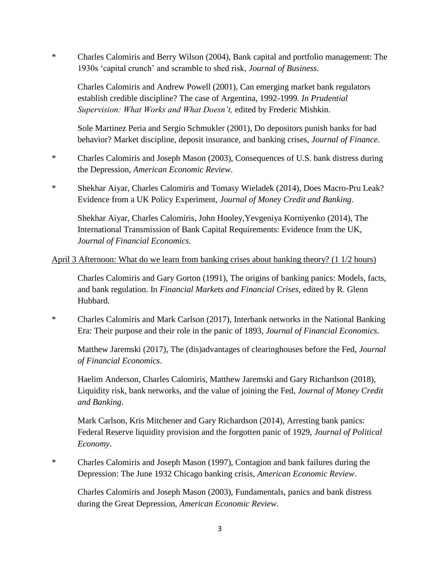\* Charles Calomiris and Berry Wilson (2004), Bank capital and portfolio management: The 1930s 'capital crunch' and scramble to shed risk, *Journal of Business*.

Charles Calomiris and Andrew Powell (2001), Can emerging market bank regulators establish credible discipline? The case of Argentina, 1992-1999*. In Prudential Supervision: What Works and What Doesn't,* edited by Frederic Mishkin.

Sole Martinez Peria and Sergio Schmukler (2001), Do depositors punish banks for bad behavior? Market discipline, deposit insurance, and banking crises, *Journal of Finance*.

- \* Charles Calomiris and Joseph Mason (2003), Consequences of U.S. bank distress during the Depression, *American Economic Review*.
- \* Shekhar Aiyar, Charles Calomiris and Tomasy Wieladek (2014), Does Macro-Pru Leak? Evidence from a UK Policy Experiment, *Journal of Money Credit and Banking*.

Shekhar Aiyar, Charles Calomiris, John Hooley,Yevgeniya Korniyenko (2014), The International Transmission of Bank Capital Requirements: Evidence from the UK, *Journal of Financial Economics*.

# April 3 Afternoon: What do we learn from banking crises about banking theory? (1 1/2 hours)

Charles Calomiris and Gary Gorton (1991), The origins of banking panics: Models, facts, and bank regulation. In *Financial Markets and Financial Crises*, edited by R. Glenn Hubbard.

\* Charles Calomiris and Mark Carlson (2017), Interbank networks in the National Banking Era: Their purpose and their role in the panic of 1893, *Journal of Financial Economics*.

Matthew Jaremski (2017), The (dis)advantages of clearinghouses before the Fed, *Journal of Financial Economics*.

Haelim Anderson, Charles Calomiris, Matthew Jaremski and Gary Richardson (2018), Liquidity risk, bank networks, and the value of joining the Fed, *Journal of Money Credit and Banking*.

Mark Carlson, Kris Mitchener and Gary Richardson (2014), Arresting bank panics: Federal Reserve liquidity provision and the forgotten panic of 1929, *Journal of Political Economy*.

\* Charles Calomiris and Joseph Mason (1997), Contagion and bank failures during the Depression: The June 1932 Chicago banking crisis, *American Economic Review*.

Charles Calomiris and Joseph Mason (2003), Fundamentals, panics and bank distress during the Great Depression, *American Economic Review*.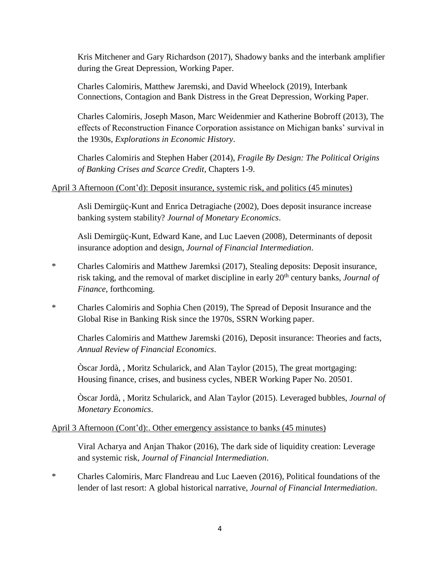Kris Mitchener and Gary Richardson (2017), Shadowy banks and the interbank amplifier during the Great Depression, Working Paper.

Charles Calomiris, Matthew Jaremski, and David Wheelock (2019), Interbank Connections, Contagion and Bank Distress in the Great Depression, Working Paper.

Charles Calomiris, Joseph Mason, Marc Weidenmier and Katherine Bobroff (2013), The effects of Reconstruction Finance Corporation assistance on Michigan banks' survival in the 1930s, *Explorations in Economic History*.

Charles Calomiris and Stephen Haber (2014), *Fragile By Design: The Political Origins of Banking Crises and Scarce Credit*, Chapters 1-9.

# April 3 Afternoon (Cont'd): Deposit insurance, systemic risk, and politics (45 minutes)

Asli Demirgüç-Kunt and Enrica Detragiache (2002), Does deposit insurance increase banking system stability? *Journal of Monetary Economics*.

Asli Demirgüç-Kunt, Edward Kane, and Luc Laeven (2008), Determinants of deposit insurance adoption and design, *Journal of Financial Intermediation*.

- \* Charles Calomiris and Matthew Jaremksi (2017), Stealing deposits: Deposit insurance, risk taking, and the removal of market discipline in early 20<sup>th</sup> century banks, *Journal of Finance*, forthcoming.
- \* Charles Calomiris and Sophia Chen (2019), The Spread of Deposit Insurance and the Global Rise in Banking Risk since the 1970s, SSRN Working paper.

Charles Calomiris and Matthew Jaremski (2016), Deposit insurance: Theories and facts, *Annual Review of Financial Economics*.

Òscar Jordà, , Moritz Schularick, and Alan Taylor (2015), The great mortgaging: Housing finance, crises, and business cycles, NBER Working Paper No. 20501.

Òscar Jordà, , Moritz Schularick, and Alan Taylor (2015). Leveraged bubbles, *Journal of Monetary Economics*.

## April 3 Afternoon (Cont'd):. Other emergency assistance to banks (45 minutes)

Viral Acharya and Anjan Thakor (2016), The dark side of liquidity creation: Leverage and systemic risk, *Journal of Financial Intermediation*.

\* Charles Calomiris, Marc Flandreau and Luc Laeven (2016), Political foundations of the lender of last resort: A global historical narrative, *Journal of Financial Intermediation*.